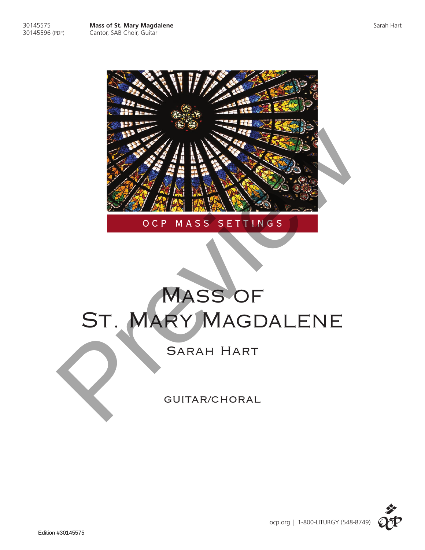

# Mass of ST. MARY MAGDALENE

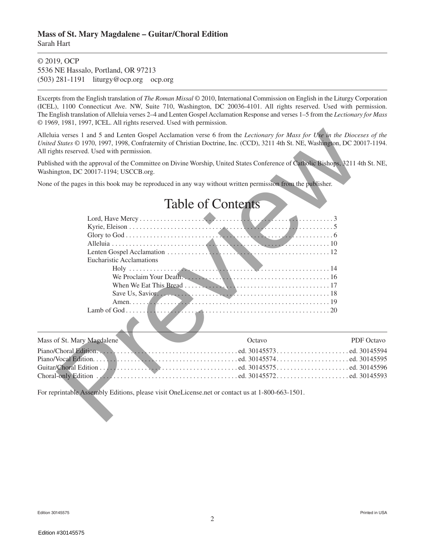#### **Mass of St. Mary Magdalene – Guitar/Choral Edition**

Sarah Hart

#### © 2019, OCP 5536 NE Hassalo, Portland, OR 97213 (503) 281-1191 liturgy@ocp.org ocp.org

Excerpts from the English translation of *The Roman Missal* © 2010, International Commission on English in the Liturgy Corporation (ICEL), 1100 Connecticut Ave. NW, Suite 710, Washington, DC 20036-4101. All rights reserved. Used with permission. The English translation of Alleluia verses 2–4 and Lenten Gospel Acclamation Response and verses 1–5 from the *Lectionary for Mass* © 1969, 1981, 1997, ICEL. All rights reserved. Used with permission.

Alleluia verses 1 and 5 and Lenten Gospel Acclamation verse 6 from the *Lectionary for Mass for Use in the Dioceses of the United States* © 1970, 1997, 1998, Confraternity of Christian Doctrine, Inc. (CCD), 3211 4th St. NE, Washington, DC 20017-1194. All rights reserved. Used with permission.

Published with the approval of the Committee on Divine Worship, United States Conference of Catholic Bishops, 3211 4th St. NE, Washington, DC 20017-1194; USCCB.org.

None of the pages in this book may be reproduced in any way without written permission from the publisher.

| ia verses 1 and 5 and Lenten Gospel Acclamation verse 6 from the Lectionary for Mass for Use in the Dioceses of th<br>I States © 1970, 1997, 1998, Confraternity of Christian Doctrine, Inc. (CCD), 3211 4th St. NE, Washington, DC 20017-1194<br>thts reserved. Used with permission. |                          |                   |
|----------------------------------------------------------------------------------------------------------------------------------------------------------------------------------------------------------------------------------------------------------------------------------------|--------------------------|-------------------|
| hed with the approval of the Committee on Divine Worship, United States Conference of Catholic Bishops, 3211 4th St. NE<br>ngton, DC 20017-1194; USCCB.org.                                                                                                                            |                          |                   |
| of the pages in this book may be reproduced in any way without written permission from the publisher.                                                                                                                                                                                  | <b>Table of Contents</b> |                   |
| <b>Eucharistic Acclamations</b>                                                                                                                                                                                                                                                        |                          |                   |
| of St. Mary Magdalene                                                                                                                                                                                                                                                                  | Octavo                   | <b>PDF</b> Octavo |
| printable Assembly Editions, please visit OneLicense.net or contact us at 1-800-663-1501.                                                                                                                                                                                              |                          |                   |

| Mass of St. Mary Magdalene | <b>Octavo</b> | <b>PDF Octavo</b> |
|----------------------------|---------------|-------------------|
|                            |               |                   |
|                            |               |                   |
|                            |               |                   |
|                            |               |                   |

For reprintable Assembly Editions, please visit OneLicense.net or contact us at 1-800-663-1501.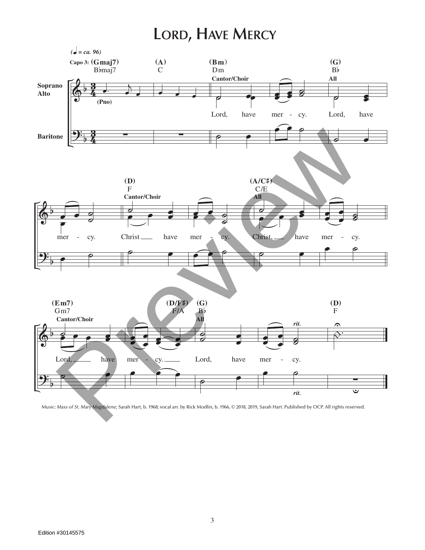## **Lord, Have Mercy**

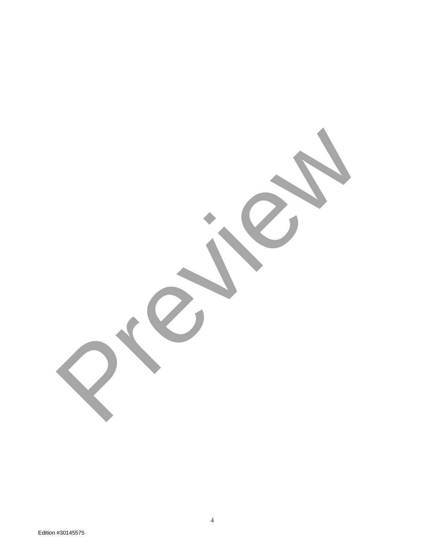Previews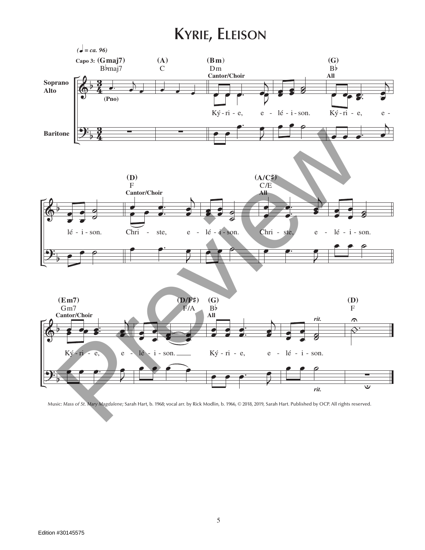#### **Kyrie, Eleison**

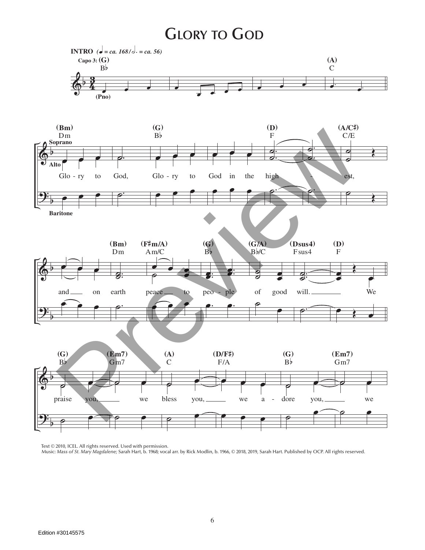#### **Glory to God**



Text © 2010, ICEL. All rights reserved. Used with permission.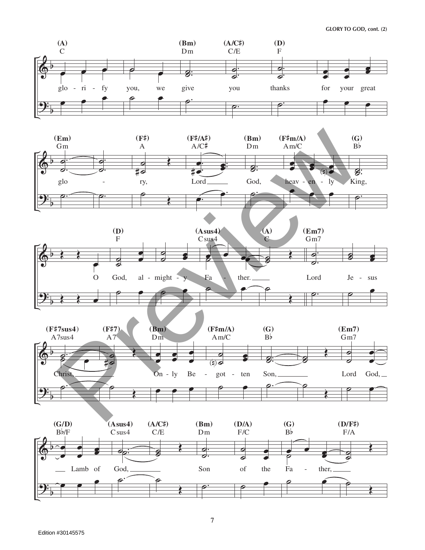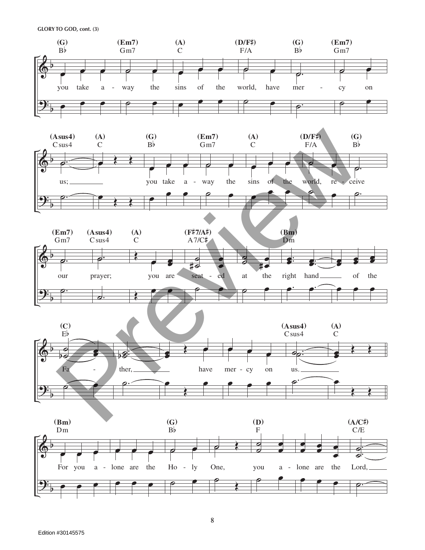**GLORY TO GOD, cont. (3)**

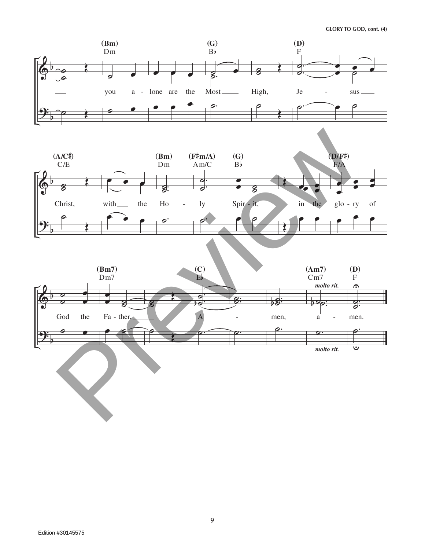



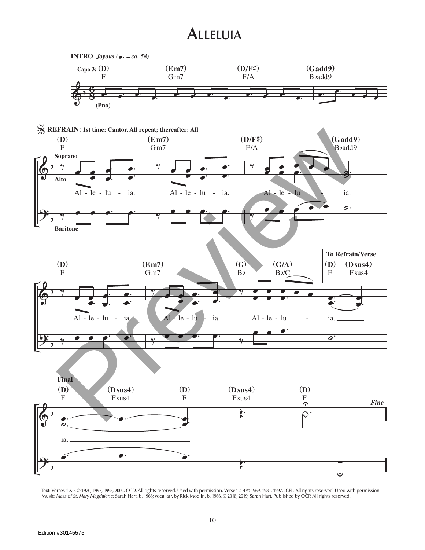#### **Alleluia**



Text: Verses 1 & 5 © 1970, 1997, 1998, 2002, CCD. All rights reserved. Used with permission. Verses 2-4 © 1969, 1981, 1997, ICEL. All rights reserved. Used with permission. Music: *Mass of St. Mary Magdalene;* Sarah Hart, b. 1968; vocal arr. by Rick Modlin, b. 1966, © 2018, 2019, Sarah Hart. Published by OCP. All rights reserved.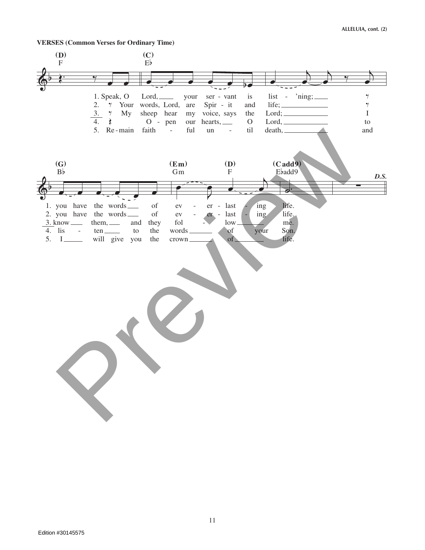**VERSES (Common Verses for Ordinary Time)**

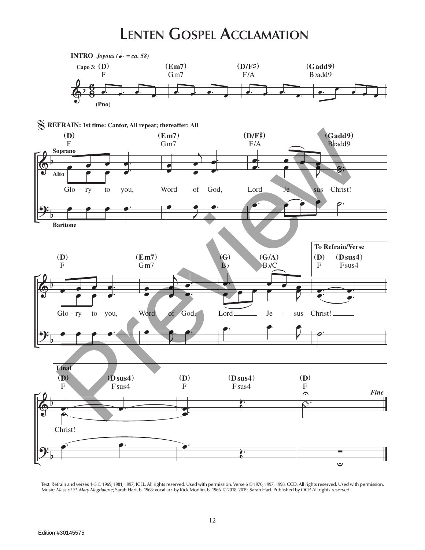#### **Lenten Gospel Acclamation**



Text: Refrain and verses 1-5 © 1969, 1981, 1997, ICEL. All rights reserved. Used with permission. Verse 6 © 1970, 1997, 1998, CCD. All rights reserved. Used with permission. Music: *Mass of St. Mary Magdalene;* Sarah Hart, b. 1968; vocal arr. by Rick Modlin, b. 1966, © 2018, 2019, Sarah Hart. Published by OCP. All rights reserved.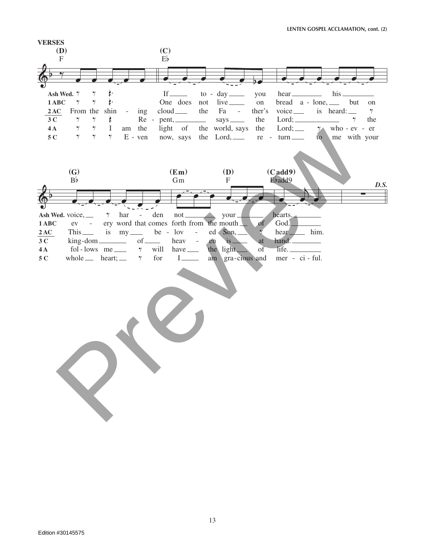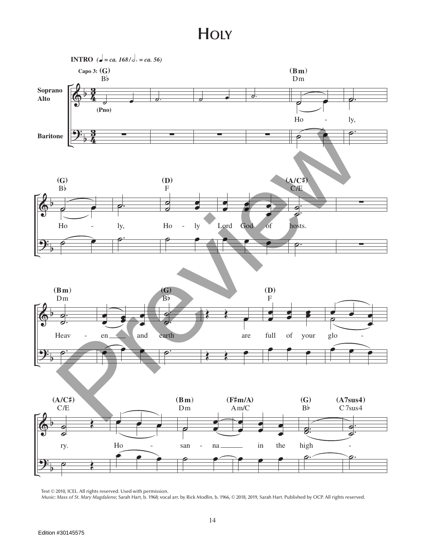#### **Holy**



Text © 2010, ICEL. All rights reserved. Used with permission.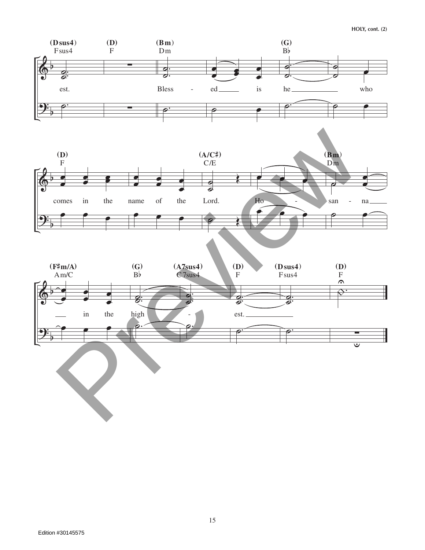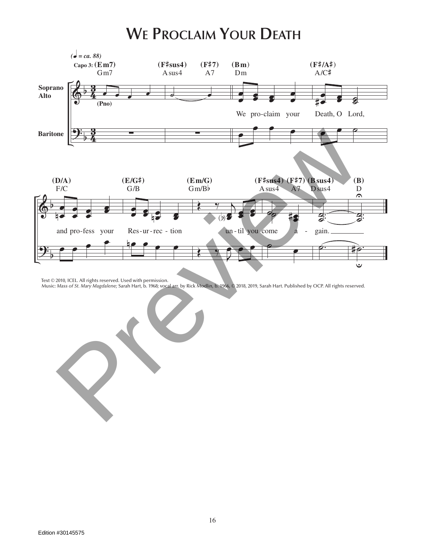### **We Proclaim Your Death**



Text © 2010, ICEL. All rights reserved. Used with permission.<br>Music: *Mass of St. Mary Magdalene;* Sarah Hart, b. 1968; vo<u>cal arr</u>. by Rick Mo**dlin, b. 1966, © 2018, 2019, Sarah Hart.** Published by OCP. All rights reserve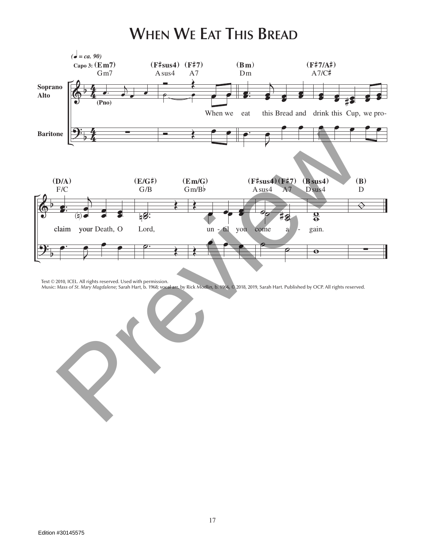#### **When We Eat This Bread**



Text © 2010, ICEL. All rights reserved. Used with permission.<br>Music: *Mass of St. Mary Magdalene;* Sarah Hart, b. 1968; vocal arr. by Rick Modlin, b. 1966, © 2018, 2019, Sarah Hart. Published by OCP. All rights reserved.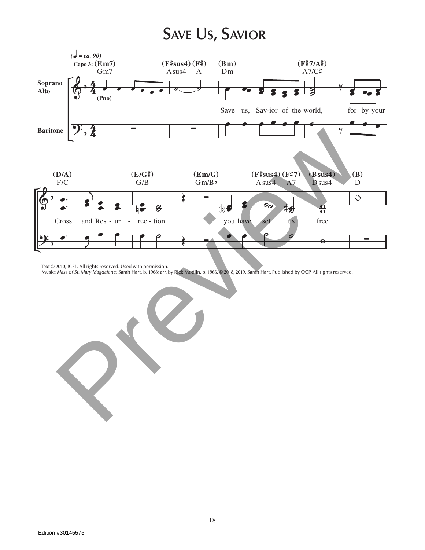#### **Save Us, Savior**



Text © 2010, ICEL. All rights reserved. Used with permission.<br>Music: *Mass of St. Mary Magdalene;* Sarah Hart, b. 1968; arr. by Rick Modlin, b. 1966, © 2018, 2019, Sarah Hart. Published by OCP. All rights reserved.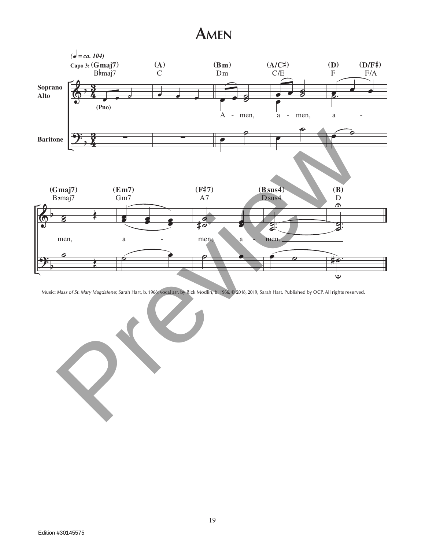#### **Amen**